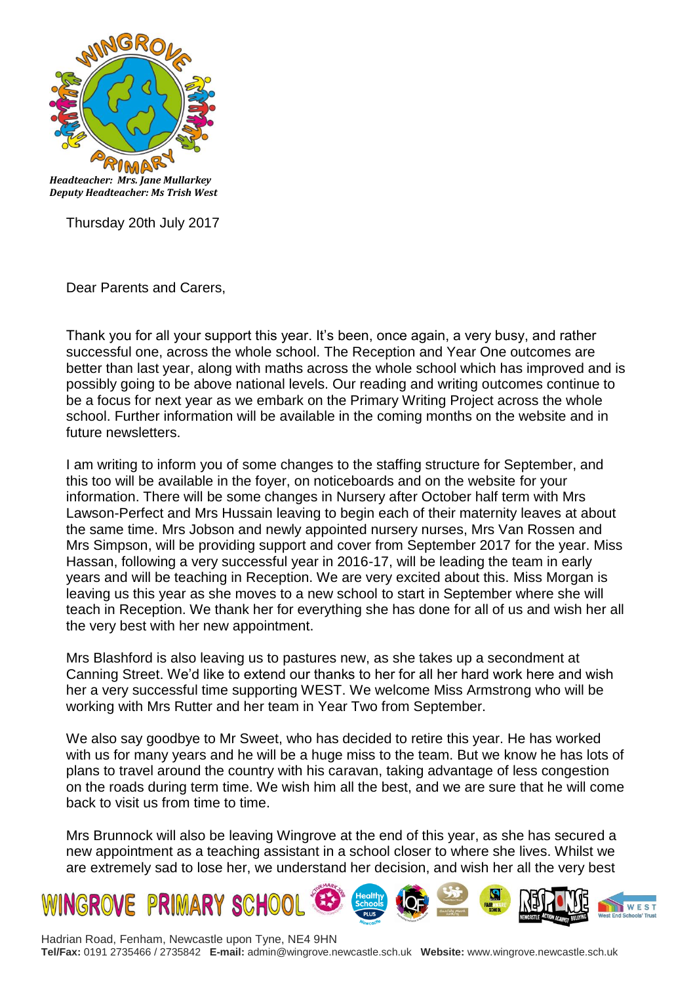

Thursday 20th July 2017

Dear Parents and Carers,

Thank you for all your support this year. It's been, once again, a very busy, and rather successful one, across the whole school. The Reception and Year One outcomes are better than last year, along with maths across the whole school which has improved and is possibly going to be above national levels. Our reading and writing outcomes continue to be a focus for next year as we embark on the Primary Writing Project across the whole school. Further information will be available in the coming months on the website and in future newsletters.

I am writing to inform you of some changes to the staffing structure for September, and this too will be available in the foyer, on noticeboards and on the website for your information. There will be some changes in Nursery after October half term with Mrs Lawson-Perfect and Mrs Hussain leaving to begin each of their maternity leaves at about the same time. Mrs Jobson and newly appointed nursery nurses, Mrs Van Rossen and Mrs Simpson, will be providing support and cover from September 2017 for the year. Miss Hassan, following a very successful year in 2016-17, will be leading the team in early years and will be teaching in Reception. We are very excited about this. Miss Morgan is leaving us this year as she moves to a new school to start in September where she will teach in Reception. We thank her for everything she has done for all of us and wish her all the very best with her new appointment.

Mrs Blashford is also leaving us to pastures new, as she takes up a secondment at Canning Street. We'd like to extend our thanks to her for all her hard work here and wish her a very successful time supporting WEST. We welcome Miss Armstrong who will be working with Mrs Rutter and her team in Year Two from September.

We also say goodbye to Mr Sweet, who has decided to retire this year. He has worked with us for many years and he will be a huge miss to the team. But we know he has lots of plans to travel around the country with his caravan, taking advantage of less congestion on the roads during term time. We wish him all the best, and we are sure that he will come back to visit us from time to time.

Mrs Brunnock will also be leaving Wingrove at the end of this year, as she has secured a new appointment as a teaching assistant in a school closer to where she lives. Whilst we are extremely sad to lose her, we understand her decision, and wish her all the very best



Hadrian Road, Fenham, Newcastle upon Tyne, NE4 9HN **Tel/Fax:** 0191 2735466 / 2735842 **E-mail:** admin@wingrove.newcastle.sch.uk **Website:** www.wingrove.newcastle.sch.uk